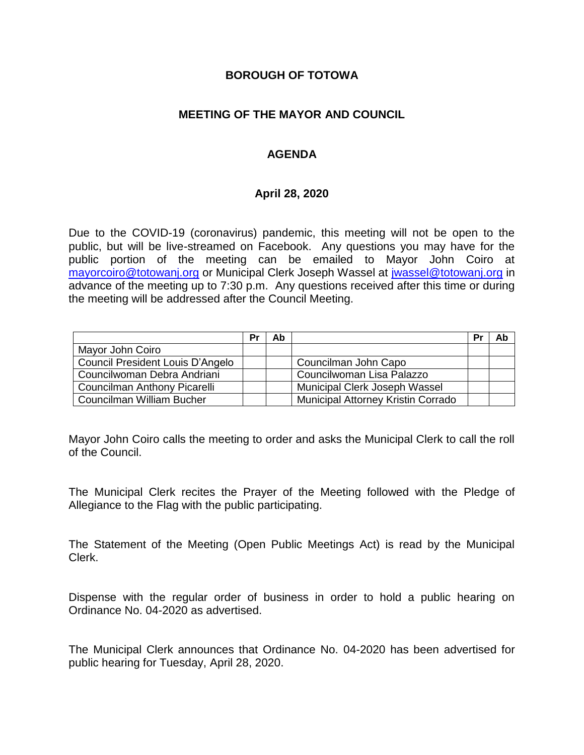#### **BOROUGH OF TOTOWA**

## **MEETING OF THE MAYOR AND COUNCIL**

## **AGENDA**

#### **April 28, 2020**

Due to the COVID-19 (coronavirus) pandemic, this meeting will not be open to the public, but will be live-streamed on Facebook. Any questions you may have for the public portion of the meeting can be emailed to Mayor John Coiro at [mayorcoiro@totowanj.org](mailto:mayorcoiro@totowanj.org) or Municipal Clerk Joseph Wassel at [jwassel@totowanj.org](mailto:jwassel@totowanj.org) in advance of the meeting up to 7:30 p.m. Any questions received after this time or during the meeting will be addressed after the Council Meeting.

|                                     | Pı | Ab |                                           | Pı | Ab |
|-------------------------------------|----|----|-------------------------------------------|----|----|
| Mayor John Coiro                    |    |    |                                           |    |    |
| Council President Louis D'Angelo    |    |    | Councilman John Capo                      |    |    |
| Councilwoman Debra Andriani         |    |    | Councilwoman Lisa Palazzo                 |    |    |
| <b>Councilman Anthony Picarelli</b> |    |    | <b>Municipal Clerk Joseph Wassel</b>      |    |    |
| Councilman William Bucher           |    |    | <b>Municipal Attorney Kristin Corrado</b> |    |    |

Mayor John Coiro calls the meeting to order and asks the Municipal Clerk to call the roll of the Council.

The Municipal Clerk recites the Prayer of the Meeting followed with the Pledge of Allegiance to the Flag with the public participating.

The Statement of the Meeting (Open Public Meetings Act) is read by the Municipal Clerk.

Dispense with the regular order of business in order to hold a public hearing on Ordinance No. 04-2020 as advertised.

The Municipal Clerk announces that Ordinance No. 04-2020 has been advertised for public hearing for Tuesday, April 28, 2020.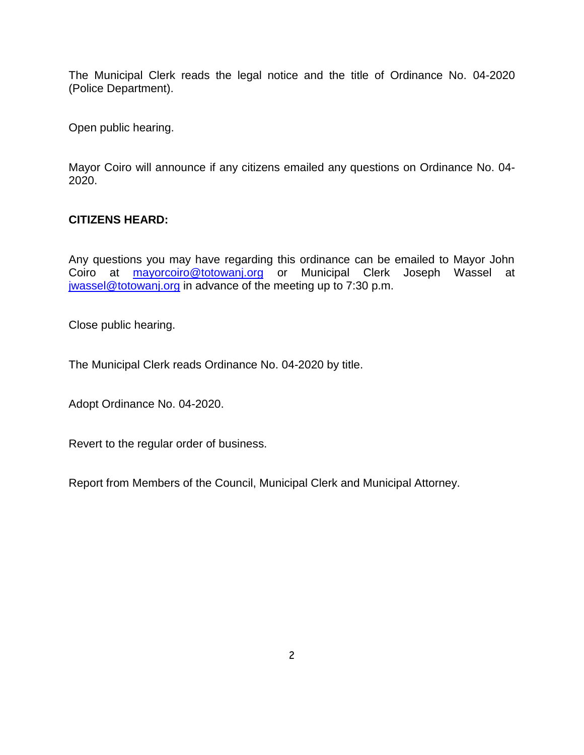The Municipal Clerk reads the legal notice and the title of Ordinance No. 04-2020 (Police Department).

Open public hearing.

Mayor Coiro will announce if any citizens emailed any questions on Ordinance No. 04- 2020.

## **CITIZENS HEARD:**

Any questions you may have regarding this ordinance can be emailed to Mayor John Coiro at [mayorcoiro@totowanj.org](mailto:mayorcoiro@totowanj.org) or Municipal Clerk Joseph Wassel at [jwassel@totowanj.org](mailto:jwassel@totowanj.org) in advance of the meeting up to 7:30 p.m.

Close public hearing.

The Municipal Clerk reads Ordinance No. 04-2020 by title.

Adopt Ordinance No. 04-2020.

Revert to the regular order of business.

Report from Members of the Council, Municipal Clerk and Municipal Attorney.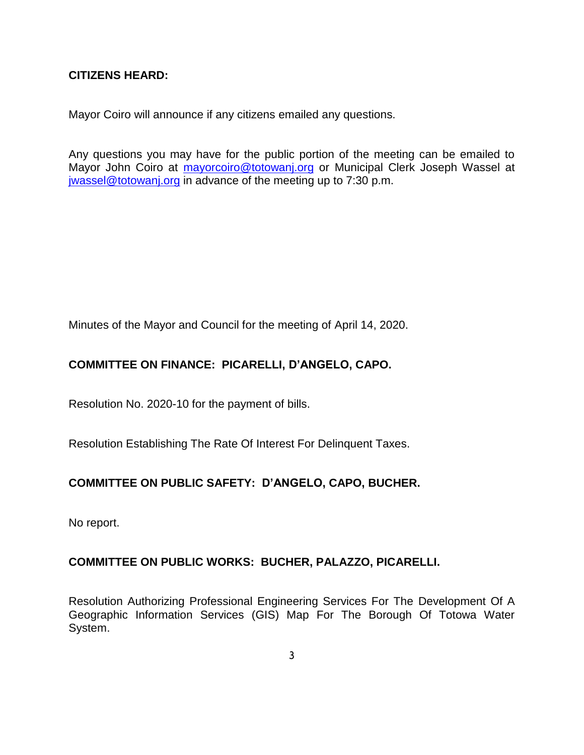## **CITIZENS HEARD:**

Mayor Coiro will announce if any citizens emailed any questions.

Any questions you may have for the public portion of the meeting can be emailed to Mayor John Coiro at [mayorcoiro@totowanj.org](mailto:mayorcoiro@totowanj.org) or Municipal Clerk Joseph Wassel at [jwassel@totowanj.org](mailto:jwassel@totowanj.org) in advance of the meeting up to 7:30 p.m.

Minutes of the Mayor and Council for the meeting of April 14, 2020.

## **COMMITTEE ON FINANCE: PICARELLI, D'ANGELO, CAPO.**

Resolution No. 2020-10 for the payment of bills.

Resolution Establishing The Rate Of Interest For Delinquent Taxes.

#### **COMMITTEE ON PUBLIC SAFETY: D'ANGELO, CAPO, BUCHER.**

No report.

#### **COMMITTEE ON PUBLIC WORKS: BUCHER, PALAZZO, PICARELLI.**

Resolution Authorizing Professional Engineering Services For The Development Of A Geographic Information Services (GIS) Map For The Borough Of Totowa Water System.